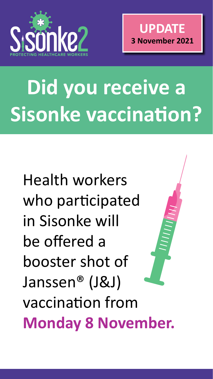



## **Did you receive a Sisonke vaccination?**

#### Health workers who participated in Sisonke will be offered a

booster shot of Janssen® (J&J) vaccination from **Monday 8 November.**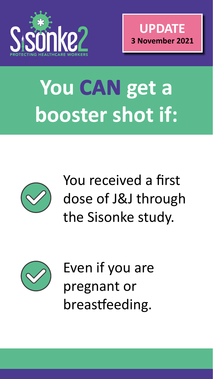



## **You CAN get a booster shot if:**



Even if you are pregnant or breastfeeding.

You received a first dose of J&J through the Sisonke study.

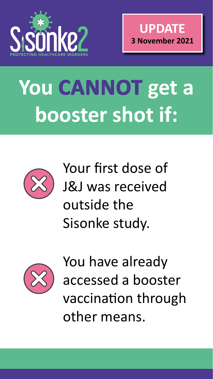



# **You CANNOT get a booster shot if:**



Your first dose of J&J was received outside the Sisonke study.



You have already accessed a booster

vaccination through other means.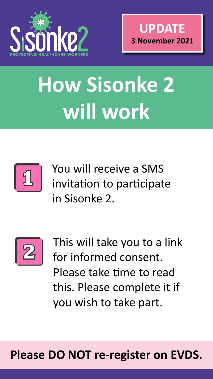



## **How Sisonke 2 will work**

#### **Please DO NOT re-register on EVDS.**

This will take you to a link

#### for informed consent. Please take time to read this. Please complete it if you wish to take part.



You will receive a SMS invitation to participate in Sisonke 2.

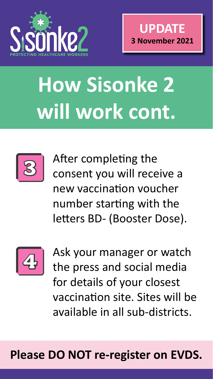



## **How Sisonke 2 will work cont.**



#### **Please DO NOT re-register on EVDS.**

Ask your manager or watch the press and social media for details of your closest vaccination site. Sites will be available in all sub-districts.

**3** After completing the<br> **3** consent you will receive a new vaccination voucher number starting with the letters BD- (Booster Dose).



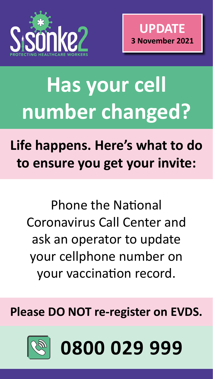



## **Has your cell number changed?**

Phone the National Coronavirus Call Center and ask an operator to update your cellphone number on your vaccination record.

**Life happens. Here's what to do to ensure you get your invite:**



#### **Please DO NOT re-register on EVDS.**